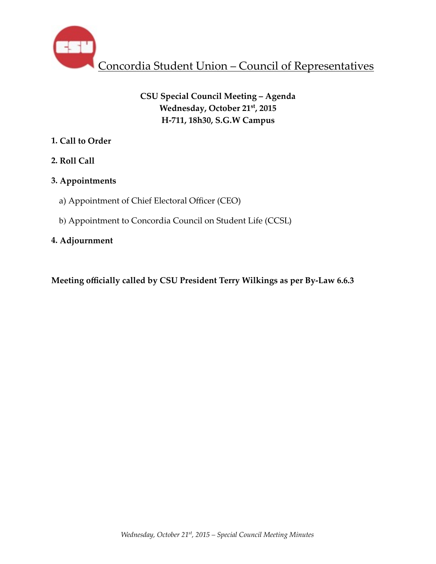

# **CSU Special Council Meeting – Agenda Wednesday, October 21st, 2015 H-711, 18h30, S.G.W Campus**

## **1. Call to Order**

**2. Roll Call** 

# **3. Appointments**

- a) Appointment of Chief Electoral Officer (CEO)
- b) Appointment to Concordia Council on Student Life (CCSL)

## **4. Adjournment**

**Meeting officially called by CSU President Terry Wilkings as per By-Law 6.6.3**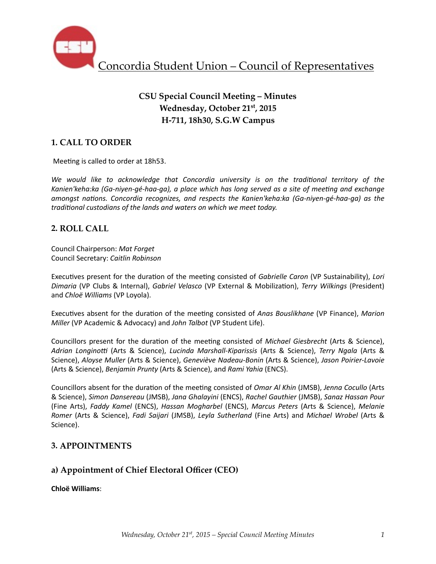

# **CSU Special Council Meeting – Minutes Wednesday, October 21st, 2015 H-711, 18h30, S.G.W Campus**

## **1. CALL TO ORDER**

Meeting is called to order at 18h53.

We would like to acknowledge that Concordia university is on the traditional territory of the Kanien'keha:ka (Ga-niyen-gé-haa-ga), a place which has long served as a site of meeting and exchange *amongst nations. Concordia recognizes, and respects the Kanien'keha:ka (Ga-niyen-gé-haa-ga)* as the *traditional custodians of the lands and waters on which we meet today.* 

### **2. ROLL CALL**

Council Chairperson: *Mat Forget* Council Secretary: *Caitlin Robinson*

Executives present for the duration of the meeting consisted of *Gabrielle Caron* (VP Sustainability), *Lori Dimaria* (VP Clubs & Internal), *Gabriel Velasco* (VP External & Mobiliza%on), *Terry Wilkings* (President) and *Chloë Williams* (VP Loyola).

Executives absent for the duration of the meeting consisted of *Anas Bouslikhane* (VP Finance), Marion *Miller* (VP Academic & Advocacy) and *John Talbot* (VP Student Life).

Councillors present for the duration of the meeting consisted of *Michael Giesbrecht* (Arts & Science), Adrian Longinotti (Arts & Science), *Lucinda Marshall-Kiparissis* (Arts & Science), *Terry Ngala* (Arts & Science), Aloyse Muller (Arts & Science), Geneviève Nadeau-Bonin (Arts & Science), Jason Poirier-Lavoie (Arts & Science), *Benjamin Prunty* (Arts & Science), and Rami Yahia (ENCS).

Councillors absent for the duration of the meeting consisted of *Omar Al Khin* (JMSB), Jenna Cocullo (Arts & Science), *Simon Dansereau* (JMSB), *Jana Ghalayini* (ENCS), *Rachel Gauthier* (JMSB), *Sanaz Hassan Pour* (Fine Arts), *Faddy Kamel* (ENCS), *Hassan Mogharbel* (ENCS), *Marcus Peters* (Arts & Science), *Melanie Romer* (Arts & Science), *Fadi Saijari* (JMSB), *Leyla Sutherland* (Fine Arts) and *Michael Wrobel* (Arts & Science). 

### **3. APPOINTMENTS**

### **a) Appointment of Chief Electoral Officer (CEO)**

**Chloë Williams**: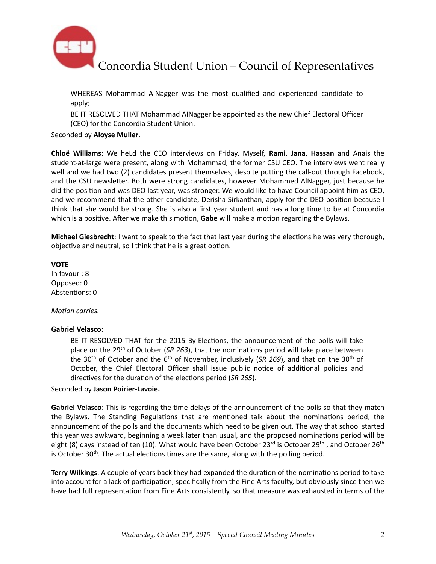

Concordia Student Union – Council of Representatives

WHEREAS Mohammad AINagger was the most qualified and experienced candidate to apply; 

BE IT RESOLVED THAT Mohammad AINagger be appointed as the new Chief Electoral Officer (CEO) for the Concordia Student Union.

#### Seconded by **Aloyse Muller**.

**Chloë Williams:** We heLd the CEO interviews on Friday. Myself, Rami, Jana, Hassan and Anais the student-at-large were present, along with Mohammad, the former CSU CEO. The interviews went really well and we had two (2) candidates present themselves, despite putting the call-out through Facebook, and the CSU newsletter. Both were strong candidates, however Mohammed AlNagger, just because he did the position and was DEO last year, was stronger. We would like to have Council appoint him as CEO, and we recommend that the other candidate, Derisha Sirkanthan, apply for the DEO position because I think that she would be strong. She is also a first year student and has a long time to be at Concordia which is a positive. After we make this motion, **Gabe** will make a motion regarding the Bylaws.

**Michael Giesbrecht**: I want to speak to the fact that last year during the elections he was very thorough, objective and neutral, so I think that he is a great option.

**VOTE**  In favour : 8 Opposed: 0 Abstentions: 0

#### *Motion carries.*

#### **Gabriel Velasco**:

BE IT RESOLVED THAT for the 2015 By-Elections, the announcement of the polls will take place on the 29<sup>th</sup> of October (*SR 263*), that the nominations period will take place between the 30<sup>th</sup> of October and the 6<sup>th</sup> of November, inclusively (SR 269), and that on the 30<sup>th</sup> of October, the Chief Electoral Officer shall issue public notice of additional policies and directives for the duration of the elections period (*SR 265*).

#### Seconded by **Jason Poirier-Lavoie.**

Gabriel Velasco: This is regarding the time delays of the announcement of the polls so that they match the Bylaws. The Standing Regulations that are mentioned talk about the nominations period, the announcement of the polls and the documents which need to be given out. The way that school started this year was awkward, beginning a week later than usual, and the proposed nominations period will be eight (8) days instead of ten (10). What would have been October  $23^{rd}$  is October  $29^{th}$ , and October  $26^{th}$ is October 30<sup>th</sup>. The actual elections times are the same, along with the polling period.

**Terry Wilkings:** A couple of years back they had expanded the duration of the nominations period to take into account for a lack of participation, specifically from the Fine Arts faculty, but obviously since then we have had full representation from Fine Arts consistently, so that measure was exhausted in terms of the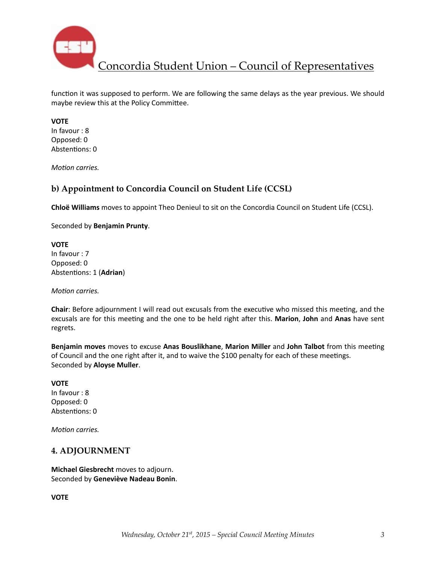

Concordia Student Union – Council of Representatives

function it was supposed to perform. We are following the same delays as the year previous. We should maybe review this at the Policy Committee.

### **VOTE**

In favour : 8 Opposed: 0 Abstentions: 0

*Motion carries.* 

### **b) Appointment to Concordia Council on Student Life (CCSL)**

**Chloë Williams** moves to appoint Theo Denieul to sit on the Concordia Council on Student Life (CCSL).

Seconded by **Benjamin Prunty**. 

**VOTE** In favour : 7 Opposed: 0 Abstentions: 1 (Adrian)

*Motion carries.* 

**Chair**: Before adjournment I will read out excusals from the executive who missed this meeting, and the excusals are for this meeting and the one to be held right after this. Marion, John and Anas have sent regrets. 

**Benjamin moves** moves to excuse Anas Bouslikhane, Marion Miller and John Talbot from this meeting of Council and the one right after it, and to waive the \$100 penalty for each of these meetings. Seconded by **Aloyse Muller**. 

### **VOTE**

In favour : 8 Opposed: 0 Abstentions: 0

*Motion carries.* 

### **4. ADJOURNMENT**

**Michael Giesbrecht** moves to adjourn. Seconded by **Geneviève Nadeau Bonin**. 

**VOTE**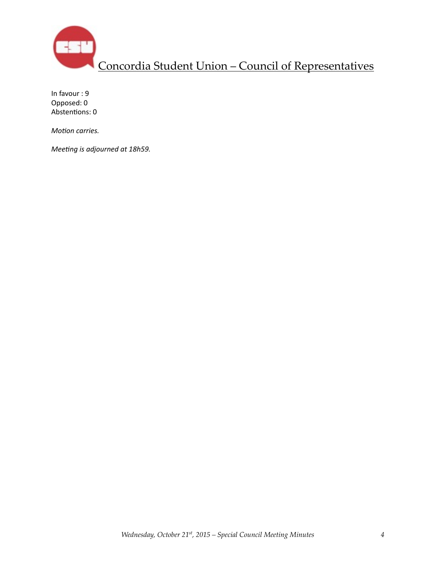

In favour : 9 Opposed: 0 Abstentions: 0

*Motion carries.* 

*Meeting is adjourned at 18h59.*